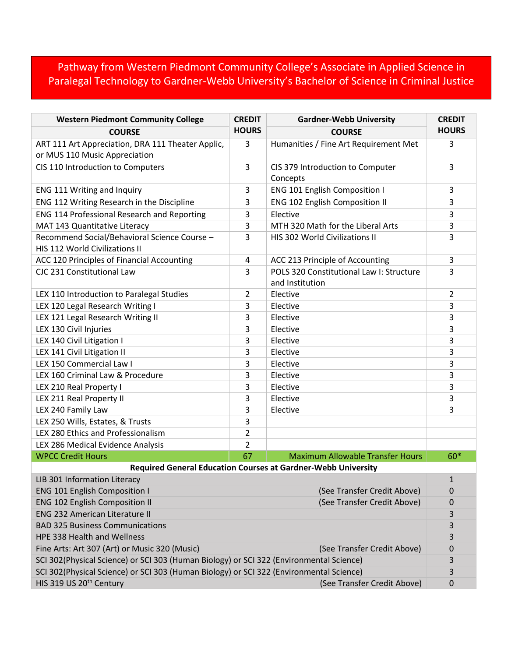## Pathway from Western Piedmont Community College's Associate in Applied Science in Paralegal Technology to Gardner-Webb University's Bachelor of Science in Criminal Justice

| <b>Western Piedmont Community College</b>                                               | <b>CREDIT</b>  | <b>Gardner-Webb University</b>                              | <b>CREDIT</b>  |  |
|-----------------------------------------------------------------------------------------|----------------|-------------------------------------------------------------|----------------|--|
| <b>COURSE</b>                                                                           | <b>HOURS</b>   | <b>COURSE</b>                                               | <b>HOURS</b>   |  |
| ART 111 Art Appreciation, DRA 111 Theater Applic,<br>or MUS 110 Music Appreciation      | 3              | Humanities / Fine Art Requirement Met                       | 3              |  |
| CIS 110 Introduction to Computers                                                       | 3              | CIS 379 Introduction to Computer<br>Concepts                | 3              |  |
| ENG 111 Writing and Inquiry                                                             | 3              | ENG 101 English Composition I                               | 3              |  |
| ENG 112 Writing Research in the Discipline                                              | 3              | ENG 102 English Composition II                              | 3              |  |
| ENG 114 Professional Research and Reporting                                             | 3              | Elective                                                    | 3              |  |
| MAT 143 Quantitative Literacy                                                           | 3              | MTH 320 Math for the Liberal Arts                           | 3              |  |
| Recommend Social/Behavioral Science Course -<br>HIS 112 World Civilizations II          | 3              | HIS 302 World Civilizations II                              | 3              |  |
| ACC 120 Principles of Financial Accounting                                              | 4              | ACC 213 Principle of Accounting                             | 3              |  |
| CJC 231 Constitutional Law                                                              | 3              | POLS 320 Constitutional Law I: Structure<br>and Institution | 3              |  |
| LEX 110 Introduction to Paralegal Studies                                               | $\overline{2}$ | Elective                                                    | $\overline{2}$ |  |
| LEX 120 Legal Research Writing I                                                        | 3              | Elective                                                    | 3              |  |
| LEX 121 Legal Research Writing II                                                       | 3              | Elective                                                    | 3              |  |
| LEX 130 Civil Injuries                                                                  | 3              | Elective                                                    | 3              |  |
| LEX 140 Civil Litigation I                                                              | 3              | Elective                                                    | 3              |  |
| LEX 141 Civil Litigation II                                                             | 3              | Elective                                                    | 3              |  |
| LEX 150 Commercial Law I                                                                | 3              | Elective                                                    | 3              |  |
| LEX 160 Criminal Law & Procedure                                                        | 3              | Elective                                                    | 3              |  |
| LEX 210 Real Property I                                                                 | 3              | Elective                                                    | 3              |  |
| LEX 211 Real Property II                                                                | 3              | Elective                                                    | 3              |  |
| LEX 240 Family Law                                                                      | 3              | Elective                                                    | 3              |  |
| LEX 250 Wills, Estates, & Trusts                                                        | 3              |                                                             |                |  |
| LEX 280 Ethics and Professionalism                                                      | $\overline{2}$ |                                                             |                |  |
| LEX 286 Medical Evidence Analysis                                                       | $\overline{2}$ |                                                             |                |  |
| <b>WPCC Credit Hours</b>                                                                | 67             | <b>Maximum Allowable Transfer Hours</b>                     | 60*            |  |
| <b>Required General Education Courses at Gardner-Webb University</b>                    |                |                                                             |                |  |
| LIB 301 Information Literacy                                                            |                |                                                             | $\mathbf{1}$   |  |
| <b>ENG 101 English Composition I</b>                                                    |                | (See Transfer Credit Above)                                 | 0              |  |
| <b>ENG 102 English Composition II</b>                                                   |                | (See Transfer Credit Above)                                 | 0              |  |
| <b>ENG 232 American Literature II</b>                                                   |                |                                                             | 3              |  |
| <b>BAD 325 Business Communications</b>                                                  |                |                                                             | 3              |  |
| HPE 338 Health and Wellness                                                             |                |                                                             | 3              |  |
| Fine Arts: Art 307 (Art) or Music 320 (Music)                                           |                | (See Transfer Credit Above)                                 | 0<br>3         |  |
| SCI 302(Physical Science) or SCI 303 (Human Biology) or SCI 322 (Environmental Science) |                |                                                             |                |  |
| SCI 302(Physical Science) or SCI 303 (Human Biology) or SCI 322 (Environmental Science) |                |                                                             | 3              |  |
| HIS 319 US 20 <sup>th</sup> Century                                                     |                | (See Transfer Credit Above)                                 | 0              |  |